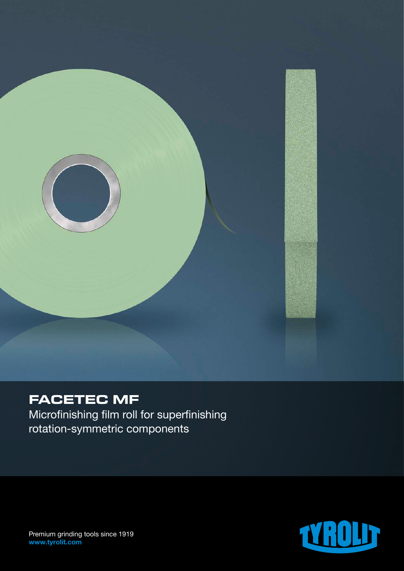

## **FACETEC MF**

Microfinishing film roll for superfinishing rotation-symmetric components



Premium grinding tools since 1919 www.tyrolit.com